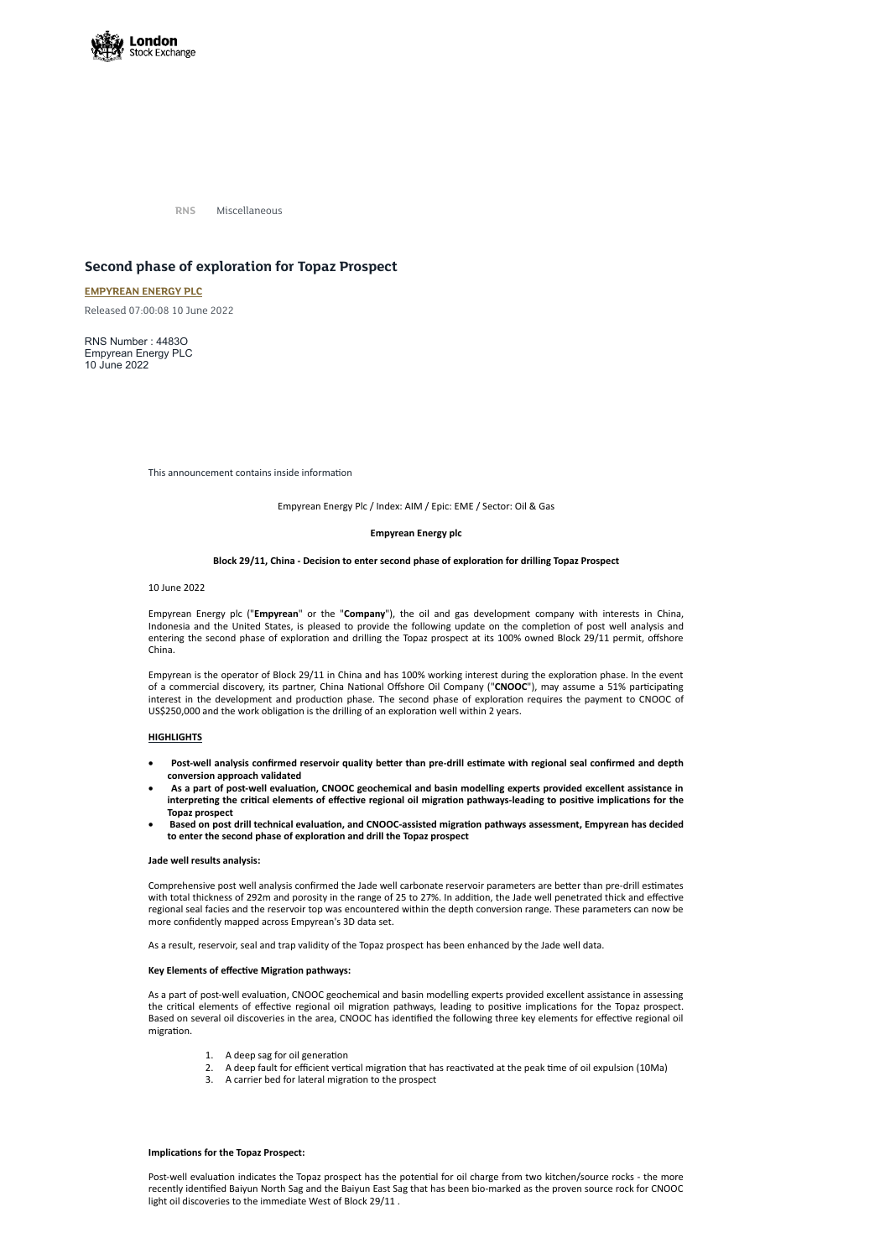

**RNS** Miscellaneous

# **Second phase of exploration for Topaz Prospect**

# **[EMPYREAN](https://www.londonstockexchange.com/stock/EME/empyrean-energy-plc) ENERGY PLC**

Released 07:00:08 10 June 2022

RNS Number : 4483O Empyrean Energy PLC 10 June 2022

This announcement contains inside information

### Empyrean Energy Plc / Index: AIM / Epic: EME / Sector: Oil & Gas

## **Empyrean Energy plc**

### **Block 29/11, China - Decision to enter second phase of exploration for drilling Topaz Prospect**

# 10 June 2022

Empyrean Energy plc ("**Empyrean**" or the "**Company**"), the oil and gas development company with interests in China, Indonesia and the United States, is pleased to provide the following update on the completion of post well analysis and entering the second phase of exploration and drilling the Topaz prospect at its 100% owned Block 29/11 permit, offshore China.

Empyrean is the operator of Block 29/11 in China and has 100% working interest during the exploration phase. In the event of a commercial discovery, its partner, China National Offshore Oil Company ("**CNOOC**"), may assume a 51% participating interest in the development and production phase. The second phase of exploration requires the payment to CNOOC of US\$250,000 and the work obligation is the drilling of an exploration well within 2 years.

### **HIGHLIGHTS**

- · **Post-well analysis confirmed reservoir quality better than pre-drill estimate with regional seal confirmed and depth conversion approach validated**
- As a part of post-well evaluation, CNOOC geochemical and basin modelling experts provided excellent assistance in interpreting the critical elements of effective regional oil migration pathways-leading to positive implications for the **Topaz prospect**
- · **Based on post drill technical evaluation, and CNOOC-assisted migration pathways assessment, Empyrean has decided to enter the second phase of exploration and drill the Topaz prospect**

### **Jade well results analysis:**

Comprehensive post well analysis confirmed the Jade well carbonate reservoir parameters are better than pre-drill estimates with total thickness of 292m and porosity in the range of 25 to 27%. In addition, the Jade well penetrated thick and effective regional seal facies and the reservoir top was encountered within the depth conversion range. These parameters can now be more confidently mapped across Empyrean's 3D data set.

As a result, reservoir, seal and trap validity of the Topaz prospect has been enhanced by the Jade well data.

# **Key Elements of effective Migration pathways:**

As a part of post-well evaluation, CNOOC geochemical and basin modelling experts provided excellent assistance in assessing the critical elements of effective regional oil migration pathways, leading to positive implications for the Topaz prospect. Based on several oil discoveries in the area, CNOOC has identified the following three key elements for effective regional oil migration.

- 1. A deep sag for oil generation
- 2. A deep fault for efficient vertical migration that has reactivated at the peak time of oil expulsion (10Ma)
- 3. A carrier bed for lateral migration to the prospect

#### **Implications for the Topaz Prospect:**

Post-well evaluation indicates the Topaz prospect has the potential for oil charge from two kitchen/source rocks - the more recently identified Baiyun North Sag and the Baiyun East Sag that has been bio-marked as the proven source rock for CNOOC light oil discoveries to the immediate West of Block 29/11 .